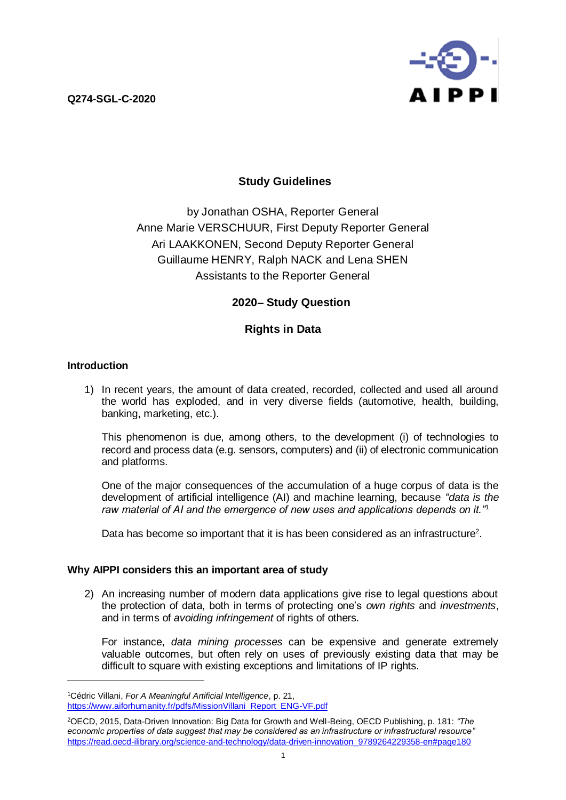**Q274-SGL-C-2020**



# **Study Guidelines**

by Jonathan OSHA, Reporter General Anne Marie VERSCHUUR, First Deputy Reporter General Ari LAAKKONEN, Second Deputy Reporter General Guillaume HENRY, Ralph NACK and Lena SHEN Assistants to the Reporter General

# **2020– Study Question**

# **Rights in Data**

### **Introduction**

 $\overline{a}$ 

1) In recent years, the amount of data created, recorded, collected and used all around the world has exploded, and in very diverse fields (automotive, health, building, banking, marketing, etc.).

This phenomenon is due, among others, to the development (i) of technologies to record and process data (e.g. sensors, computers) and (ii) of electronic communication and platforms.

One of the major consequences of the accumulation of a huge corpus of data is the development of artificial intelligence (AI) and machine learning, because *"data is the raw material of AI and the emergence of new uses and applications depends on it."*<sup>1</sup>

Data has become so important that it is has been considered as an infrastructure<sup>2</sup>.

### **Why AIPPI considers this an important area of study**

2) An increasing number of modern data applications give rise to legal questions about the protection of data, both in terms of protecting one's *own rights* and *investments*, and in terms of *avoiding infringement* of rights of others.

For instance, *data mining processes* can be expensive and generate extremely valuable outcomes, but often rely on uses of previously existing data that may be difficult to square with existing exceptions and limitations of IP rights.

<sup>1</sup>Cédric Villani, *For A Meaningful Artificial Intelligence*, p. 21, https://www.aiforhumanity.fr/pdfs/MissionVillani\_Report\_ENG-VF.pdf

<sup>2</sup>OECD, 2015, Data-Driven Innovation: Big Data for Growth and Well-Being, OECD Publishing, p. 181: *"The economic properties of data suggest that may be considered as an infrastructure or infrastructural resource"* [https://read.oecd-ilibrary.org/science-and-technology/data-driven-innovation\\_9789264229358-en#page180](https://read.oecd-ilibrary.org/science-and-technology/data-driven-innovation_9789264229358-en#page180)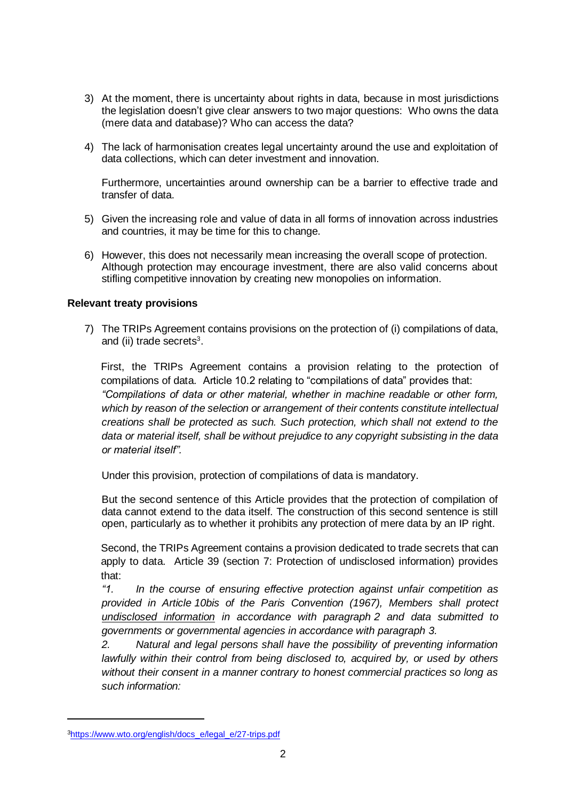- 3) At the moment, there is uncertainty about rights in data, because in most jurisdictions the legislation doesn't give clear answers to two major questions: Who owns the data (mere data and database)? Who can access the data?
- 4) The lack of harmonisation creates legal uncertainty around the use and exploitation of data collections, which can deter investment and innovation.

Furthermore, uncertainties around ownership can be a barrier to effective trade and transfer of data.

- 5) Given the increasing role and value of data in all forms of innovation across industries and countries, it may be time for this to change.
- 6) However, this does not necessarily mean increasing the overall scope of protection. Although protection may encourage investment, there are also valid concerns about stifling competitive innovation by creating new monopolies on information.

#### **Relevant treaty provisions**

7) The TRIPs Agreement contains provisions on the protection of (i) compilations of data, and (ii) trade secrets 3 .

First, the TRIPs Agreement contains a provision relating to the protection of compilations of data. Article 10.2 relating to "compilations of data" provides that: *"Compilations of data or other material, whether in machine readable or other form, which by reason of the selection or arrangement of their contents constitute intellectual creations shall be protected as such. Such protection, which shall not extend to the data or material itself, shall be without prejudice to any copyright subsisting in the data or material itself".*

Under this provision, protection of compilations of data is mandatory.

But the second sentence of this Article provides that the protection of compilation of data cannot extend to the data itself. The construction of this second sentence is still open, particularly as to whether it prohibits any protection of mere data by an IP right.

Second, the TRIPs Agreement contains a provision dedicated to trade secrets that can apply to data. Article 39 (section 7: Protection of undisclosed information) provides that:

*"1. In the course of ensuring effective protection against unfair competition as provided in Article 10bis of the Paris Convention (1967), Members shall protect undisclosed information in accordance with paragraph 2 and data submitted to governments or governmental agencies in accordance with paragraph 3.*

*2. Natural and legal persons shall have the possibility of preventing information lawfully within their control from being disclosed to, acquired by, or used by others without their consent in a manner contrary to honest commercial practices so long as such information:*

<sup>3</sup>[https://www.wto.org/english/docs\\_e/legal\\_e/27-trips.pdf](https://www.wto.org/english/docs_e/legal_e/27-trips.pdf)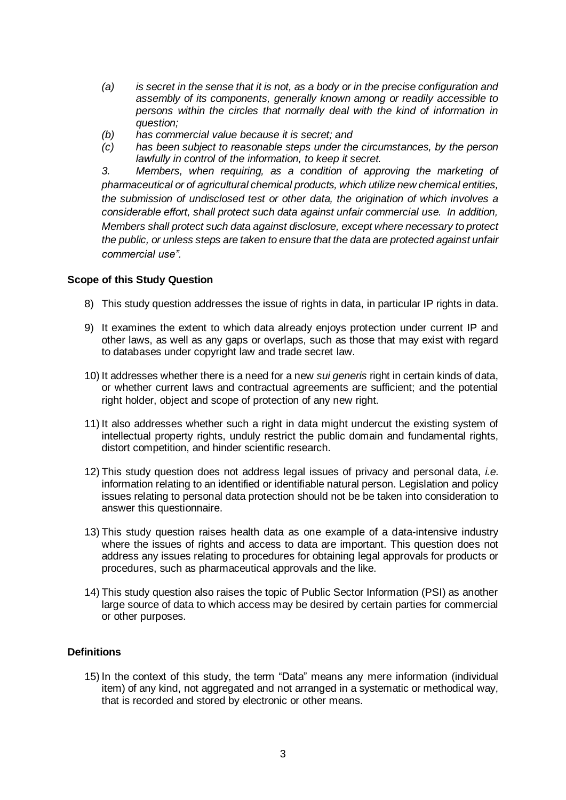- *(a) is secret in the sense that it is not, as a body or in the precise configuration and assembly of its components, generally known among or readily accessible to persons within the circles that normally deal with the kind of information in question;*
- *(b) has commercial value because it is secret; and*
- *(c) has been subject to reasonable steps under the circumstances, by the person lawfully in control of the information, to keep it secret.*

*3. Members, when requiring, as a condition of approving the marketing of pharmaceutical or of agricultural chemical products, which utilize new chemical entities, the submission of undisclosed test or other data, the origination of which involves a considerable effort, shall protect such data against unfair commercial use. In addition, Members shall protect such data against disclosure, except where necessary to protect the public, or unless steps are taken to ensure that the data are protected against unfair commercial use".*

#### **Scope of this Study Question**

- 8) This study question addresses the issue of rights in data, in particular IP rights in data.
- 9) It examines the extent to which data already enjoys protection under current IP and other laws, as well as any gaps or overlaps, such as those that may exist with regard to databases under copyright law and trade secret law.
- 10) It addresses whether there is a need for a new *sui generis* right in certain kinds of data, or whether current laws and contractual agreements are sufficient; and the potential right holder, object and scope of protection of any new right.
- 11) It also addresses whether such a right in data might undercut the existing system of intellectual property rights, unduly restrict the public domain and fundamental rights, distort competition, and hinder scientific research.
- 12) This study question does not address legal issues of privacy and personal data, *i.e.*  information relating to an identified or identifiable natural person. Legislation and policy issues relating to personal data protection should not be be taken into consideration to answer this questionnaire.
- 13) This study question raises health data as one example of a data-intensive industry where the issues of rights and access to data are important. This question does not address any issues relating to procedures for obtaining legal approvals for products or procedures, such as pharmaceutical approvals and the like.
- 14) This study question also raises the topic of Public Sector Information (PSI) as another large source of data to which access may be desired by certain parties for commercial or other purposes.

## **Definitions**

15) In the context of this study, the term "Data" means any mere information (individual item) of any kind, not aggregated and not arranged in a systematic or methodical way, that is recorded and stored by electronic or other means.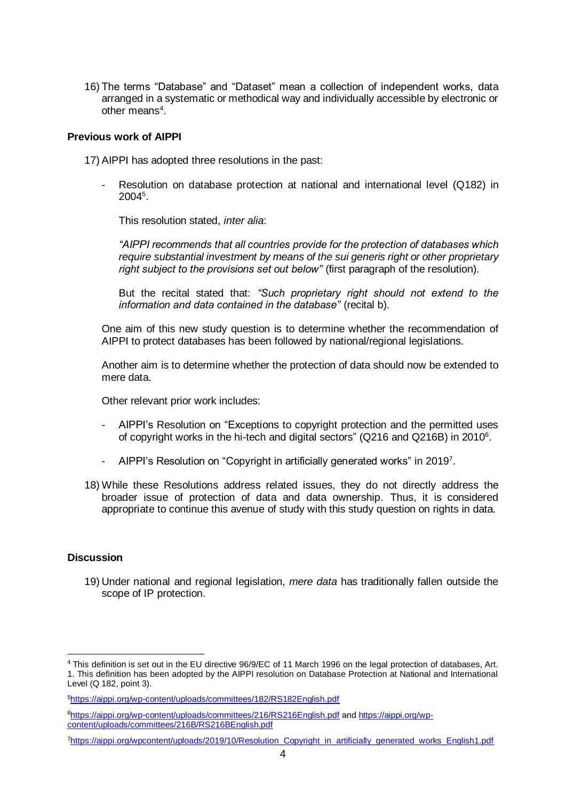16) The terms "Database" and "Dataset" mean a collection of independent works, data arranged in a systematic or methodical way and individually accessible by electronic or other means<sup>4</sup>.

#### **Previous work of AIPPI**

17) AIPPI has adopted three resolutions in the past:

Resolution on database protection at national and international level (Q182) in  $2004^5$ .

This resolution stated, *inter alia*:

*"AIPPI recommends that all countries provide for the protection of databases which require substantial investment by means of the sui generis right or other proprietary right subject to the provisions set out below"* (first paragraph of the resolution)*.*

But the recital stated that: *"Such proprietary right should not extend to the information and data contained in the database"* (recital b).

One aim of this new study question is to determine whether the recommendation of AIPPI to protect databases has been followed by national/regional legislations.

Another aim is to determine whether the protection of data should now be extended to mere data.

Other relevant prior work includes:

- AIPPI's Resolution on "Exceptions to copyright protection and the permitted uses of copyright works in the hi-tech and digital sectors" (Q216 and Q216B) in 2010<sup>6</sup> .
- AIPPI's Resolution on "Copyright in artificially generated works" in 2019<sup>7</sup>.
- 18) While these Resolutions address related issues, they do not directly address the broader issue of protection of data and data ownership. Thus, it is considered appropriate to continue this avenue of study with this study question on rights in data.

#### **Discussion**

 $\overline{a}$ 

19) Under national and regional legislation, *mere data* has traditionally fallen outside the scope of IP protection.

<sup>4</sup> This definition is set out in the EU directive 96/9/EC of 11 March 1996 on the legal protection of databases, Art. 1. This definition has been adopted by the AIPPI resolution on Database Protection at National and International Level (Q 182, point 3).

<sup>5</sup><https://aippi.org/wp-content/uploads/committees/182/RS182English.pdf>

<sup>6</sup><https://aippi.org/wp-content/uploads/committees/216/RS216English.pdf> and [https://aippi.org/wp](https://aippi.org/wp-content/uploads/committees/216B/RS216BEnglish.pdf)[content/uploads/committees/216B/RS216BEnglish.pdf](https://aippi.org/wp-content/uploads/committees/216B/RS216BEnglish.pdf) 

<sup>7</sup>[https://aippi.org/wpcontent/uploads/2019/10/Resolution\\_Copyright\\_in\\_artificially\\_generated\\_works\\_English1.pdf](https://aippi.org/wpcontent/uploads/2019/10/Resolution_Copyright_in_artificially_generated_works_English1.pdf)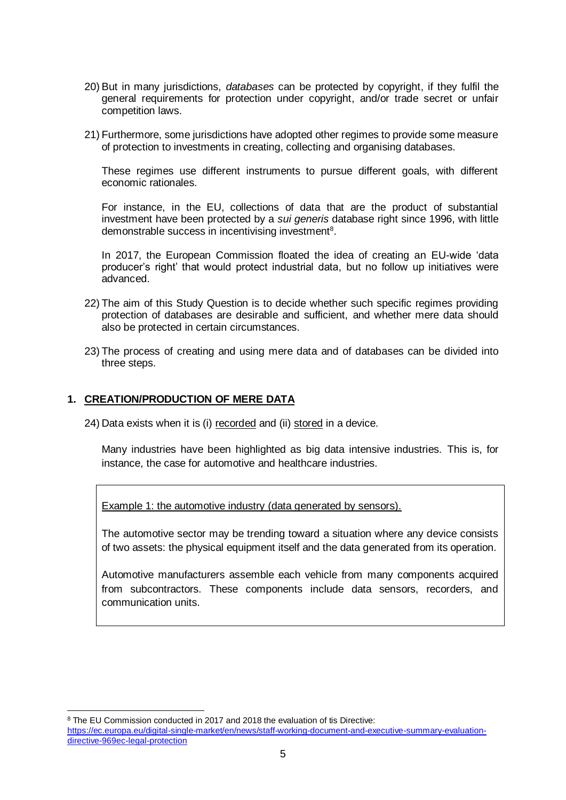- 20) But in many jurisdictions, *databases* can be protected by copyright, if they fulfil the general requirements for protection under copyright, and/or trade secret or unfair competition laws.
- 21) Furthermore, some jurisdictions have adopted other regimes to provide some measure of protection to investments in creating, collecting and organising databases.

These regimes use different instruments to pursue different goals, with different economic rationales.

For instance, in the EU, collections of data that are the product of substantial investment have been protected by a *sui generis* database right since 1996, with little demonstrable success in incentivising investment<sup>8</sup>.

In 2017, the European Commission floated the idea of creating an EU-wide 'data producer's right' that would protect industrial data, but no follow up initiatives were advanced.

- 22) The aim of this Study Question is to decide whether such specific regimes providing protection of databases are desirable and sufficient, and whether mere data should also be protected in certain circumstances.
- 23) The process of creating and using mere data and of databases can be divided into three steps.

## **1. CREATION/PRODUCTION OF MERE DATA**

24) Data exists when it is (i) recorded and (ii) stored in a device.

Many industries have been highlighted as big data intensive industries. This is, for instance, the case for automotive and healthcare industries.

Example 1: the automotive industry (data generated by sensors).

The automotive sector may be trending toward a situation where any device consists of two assets: the physical equipment itself and the data generated from its operation.

Automotive manufacturers assemble each vehicle from many components acquired from subcontractors. These components include data sensors, recorders, and communication units.

<sup>&</sup>lt;sup>8</sup> The EU Commission conducted in 2017 and 2018 the evaluation of tis Directive:

[https://ec.europa.eu/digital-single-market/en/news/staff-working-document-and-executive-summary-evaluation](https://ec.europa.eu/digital-single-market/en/news/staff-working-document-and-executive-summary-evaluation-directive-969ec-legal-protection)[directive-969ec-legal-protection](https://ec.europa.eu/digital-single-market/en/news/staff-working-document-and-executive-summary-evaluation-directive-969ec-legal-protection)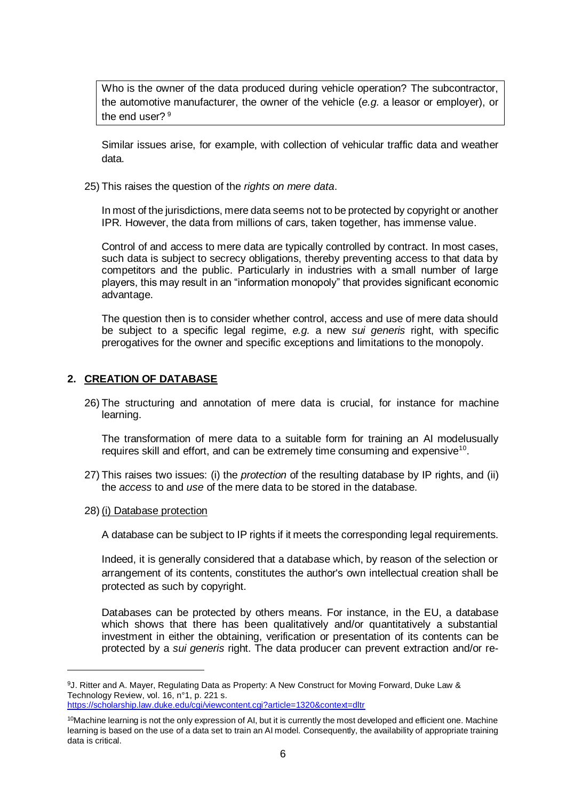Who is the owner of the data produced during vehicle operation? The subcontractor, the automotive manufacturer, the owner of the vehicle (*e.g.* a leasor or employer), or the end user?<sup>9</sup>

Similar issues arise, for example, with collection of vehicular traffic data and weather data.

25) This raises the question of the *rights on mere data*.

In most of the jurisdictions, mere data seems not to be protected by copyright or another IPR. However, the data from millions of cars, taken together, has immense value.

Control of and access to mere data are typically controlled by contract. In most cases, such data is subject to secrecy obligations, thereby preventing access to that data by competitors and the public. Particularly in industries with a small number of large players, this may result in an "information monopoly" that provides significant economic advantage.

The question then is to consider whether control, access and use of mere data should be subject to a specific legal regime, *e.g.* a new *sui generis* right, with specific prerogatives for the owner and specific exceptions and limitations to the monopoly.

### **2. CREATION OF DATABASE**

26) The structuring and annotation of mere data is crucial, for instance for machine learning.

The transformation of mere data to a suitable form for training an AI modelusually requires skill and effort, and can be extremely time consuming and expensive<sup>10</sup>.

- 27) This raises two issues: (i) the *protection* of the resulting database by IP rights, and (ii) the *access* to and *use* of the mere data to be stored in the database.
- 28) (i) Database protection

 $\overline{a}$ 

A database can be subject to IP rights if it meets the corresponding legal requirements.

Indeed, it is generally considered that a database which, by reason of the selection or arrangement of its contents, constitutes the author's own intellectual creation shall be protected as such by copyright.

Databases can be protected by others means. For instance, in the EU, a database which shows that there has been qualitatively and/or quantitatively a substantial investment in either the obtaining, verification or presentation of its contents can be protected by a *sui generis* right. The data producer can prevent extraction and/or re-

<sup>9</sup>J. Ritter and A. Mayer, Regulating Data as Property: A New Construct for Moving Forward, Duke Law & Technology Review, vol. 16, n°1, p. 221 s. <https://scholarship.law.duke.edu/cgi/viewcontent.cgi?article=1320&context=dltr>

 $10$ Machine learning is not the only expression of AI, but it is currently the most developed and efficient one. Machine learning is based on the use of a data set to train an AI model. Consequently, the availability of appropriate training data is critical.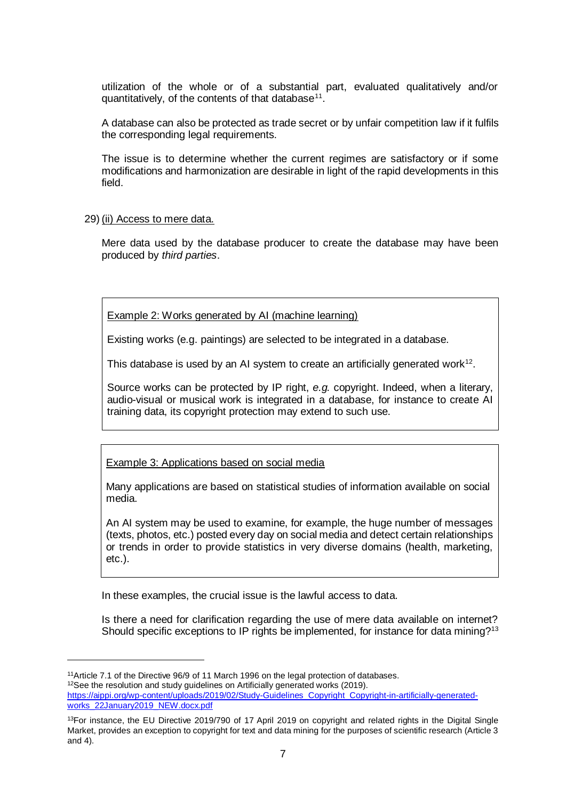utilization of the whole or of a substantial part, evaluated qualitatively and/or quantitatively, of the contents of that database $^{11}$ .

A database can also be protected as trade secret or by unfair competition law if it fulfils the corresponding legal requirements.

The issue is to determine whether the current regimes are satisfactory or if some modifications and harmonization are desirable in light of the rapid developments in this field.

29) (ii) Access to mere data.

Mere data used by the database producer to create the database may have been produced by *third parties*.

Example 2: Works generated by AI (machine learning)

Existing works (e.g. paintings) are selected to be integrated in a database.

This database is used by an AI system to create an artificially generated work $12$ .

Source works can be protected by IP right, *e.g.* copyright. Indeed, when a literary, audio-visual or musical work is integrated in a database, for instance to create AI training data, its copyright protection may extend to such use.

Example 3: Applications based on social media

Many applications are based on statistical studies of information available on social media.

An AI system may be used to examine, for example, the huge number of messages (texts, photos, etc.) posted every day on social media and detect certain relationships or trends in order to provide statistics in very diverse domains (health, marketing, etc.).

In these examples, the crucial issue is the lawful access to data.

Is there a need for clarification regarding the use of mere data available on internet? Should specific exceptions to IP rights be implemented, for instance for data mining?<sup>13</sup>

<sup>11</sup>Article 7.1 of the Directive 96/9 of 11 March 1996 on the legal protection of databases. <sup>12</sup>See the resolution and study quidelines on Artificially generated works (2019). [https://aippi.org/wp-content/uploads/2019/02/Study-Guidelines\\_Copyright\\_Copyright-in-artificially-generated](https://aippi.org/wp-content/uploads/2019/02/Study-Guidelines_Copyright_Copyright-in-artificially-generated-works_22January2019_NEW.docx.pdf)[works\\_22January2019\\_NEW.docx.pdf](https://aippi.org/wp-content/uploads/2019/02/Study-Guidelines_Copyright_Copyright-in-artificially-generated-works_22January2019_NEW.docx.pdf) 

 $13$ For instance, the EU Directive 2019/790 of 17 April 2019 on copyright and related rights in the Digital Single Market, provides an exception to copyright for text and data mining for the purposes of scientific research (Article 3 and 4).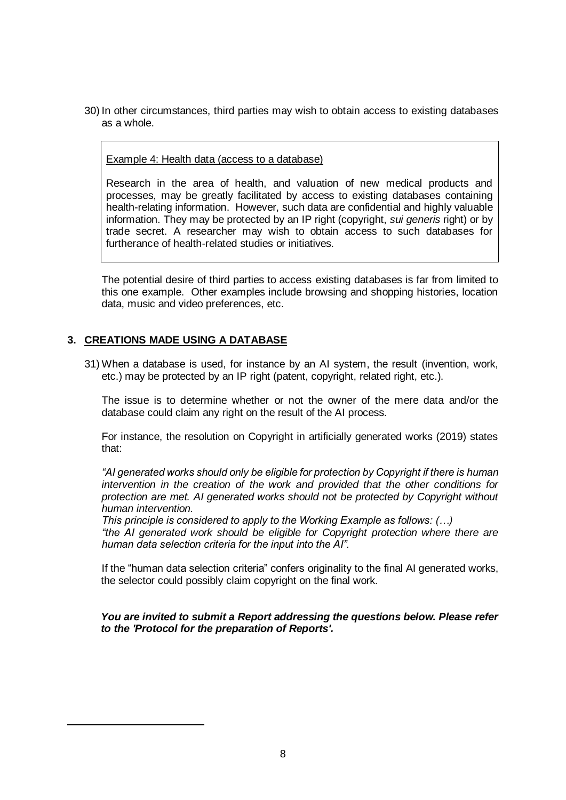30) In other circumstances, third parties may wish to obtain access to existing databases as a whole.

#### Example 4: Health data (access to a database)

Research in the area of health, and valuation of new medical products and processes, may be greatly facilitated by access to existing databases containing health-relating information. However, such data are confidential and highly valuable information. They may be protected by an IP right (copyright, *sui generis* right) or by trade secret. A researcher may wish to obtain access to such databases for furtherance of health-related studies or initiatives.

The potential desire of third parties to access existing databases is far from limited to this one example. Other examples include browsing and shopping histories, location data, music and video preferences, etc.

#### **3. CREATIONS MADE USING A DATABASE**

 $\overline{a}$ 

31) When a database is used, for instance by an AI system, the result (invention, work, etc.) may be protected by an IP right (patent, copyright, related right, etc.).

The issue is to determine whether or not the owner of the mere data and/or the database could claim any right on the result of the AI process.

For instance, the resolution on Copyright in artificially generated works (2019) states that:

*"AI generated works should only be eligible for protection by Copyright if there is human intervention in the creation of the work and provided that the other conditions for protection are met. AI generated works should not be protected by Copyright without human intervention.* 

*This principle is considered to apply to the Working Example as follows: (…) "the AI generated work should be eligible for Copyright protection where there are human data selection criteria for the input into the AI".*

If the "human data selection criteria" confers originality to the final AI generated works, the selector could possibly claim copyright on the final work.

*You are invited to submit a Report addressing the questions below. Please refer to the 'Protocol for the preparation of Reports'.*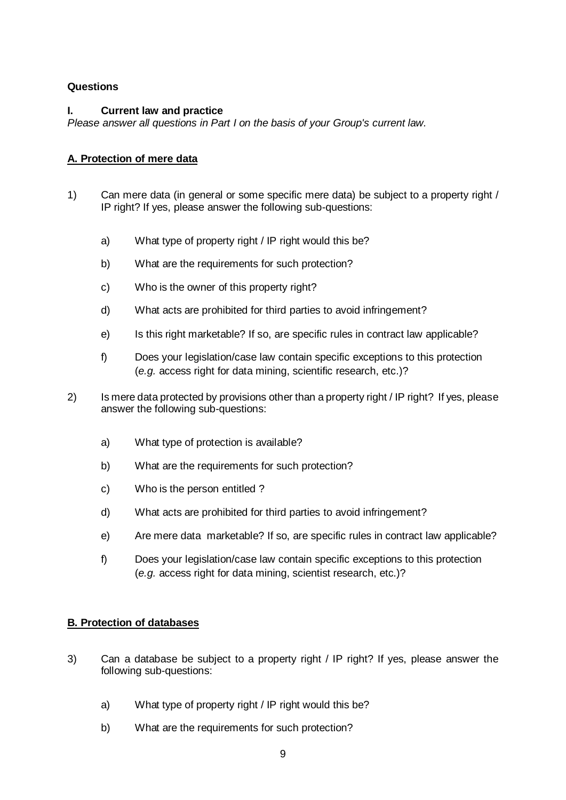# **Questions**

## **I. Current law and practice**

*Please answer all questions in Part I on the basis of your Group's current law.*

# **A. Protection of mere data**

- 1) Can mere data (in general or some specific mere data) be subject to a property right / IP right? If yes, please answer the following sub-questions:
	- a) What type of property right / IP right would this be?
	- b) What are the requirements for such protection?
	- c) Who is the owner of this property right?
	- d) What acts are prohibited for third parties to avoid infringement?
	- e) Is this right marketable? If so, are specific rules in contract law applicable?
	- f) Does your legislation/case law contain specific exceptions to this protection (*e.g.* access right for data mining, scientific research, etc.)?
- 2) Is mere data protected by provisions other than a property right / IP right? If yes, please answer the following sub-questions:
	- a) What type of protection is available?
	- b) What are the requirements for such protection?
	- c) Who is the person entitled ?
	- d) What acts are prohibited for third parties to avoid infringement?
	- e) Are mere data marketable? If so, are specific rules in contract law applicable?
	- f) Does your legislation/case law contain specific exceptions to this protection (*e.g.* access right for data mining, scientist research, etc.)?

# **B. Protection of databases**

- 3) Can a database be subject to a property right / IP right? If yes, please answer the following sub-questions:
	- a) What type of property right / IP right would this be?
	- b) What are the requirements for such protection?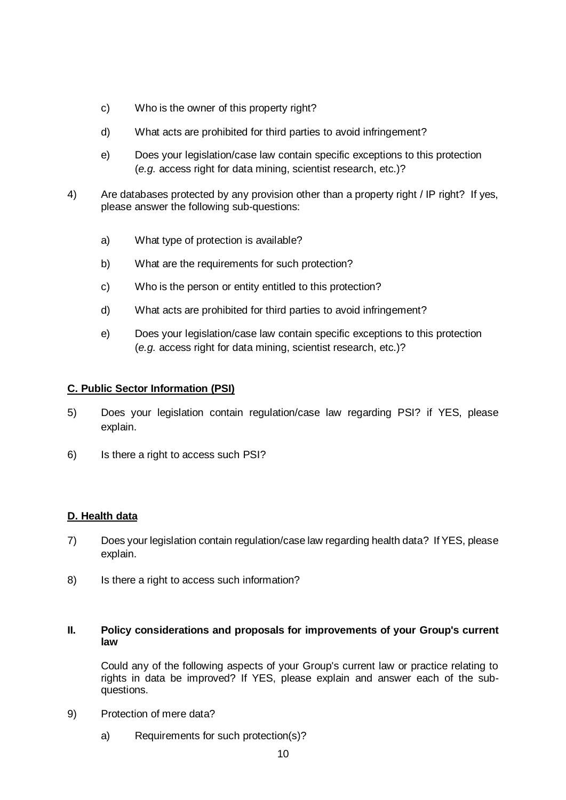- c) Who is the owner of this property right?
- d) What acts are prohibited for third parties to avoid infringement?
- e) Does your legislation/case law contain specific exceptions to this protection (*e.g.* access right for data mining, scientist research, etc.)?
- 4) Are databases protected by any provision other than a property right / IP right? If yes, please answer the following sub-questions:
	- a) What type of protection is available?
	- b) What are the requirements for such protection?
	- c) Who is the person or entity entitled to this protection?
	- d) What acts are prohibited for third parties to avoid infringement?
	- e) Does your legislation/case law contain specific exceptions to this protection (*e.g.* access right for data mining, scientist research, etc.)?

## **C. Public Sector Information (PSI)**

- 5) Does your legislation contain regulation/case law regarding PSI? if YES, please explain.
- 6) Is there a right to access such PSI?

### **D. Health data**

- 7) Does your legislation contain regulation/case law regarding health data? If YES, please explain.
- 8) Is there a right to access such information?

### **II. Policy considerations and proposals for improvements of your Group's current law**

Could any of the following aspects of your Group's current law or practice relating to rights in data be improved? If YES, please explain and answer each of the subquestions.

- 9) Protection of mere data?
	- a) Requirements for such protection(s)?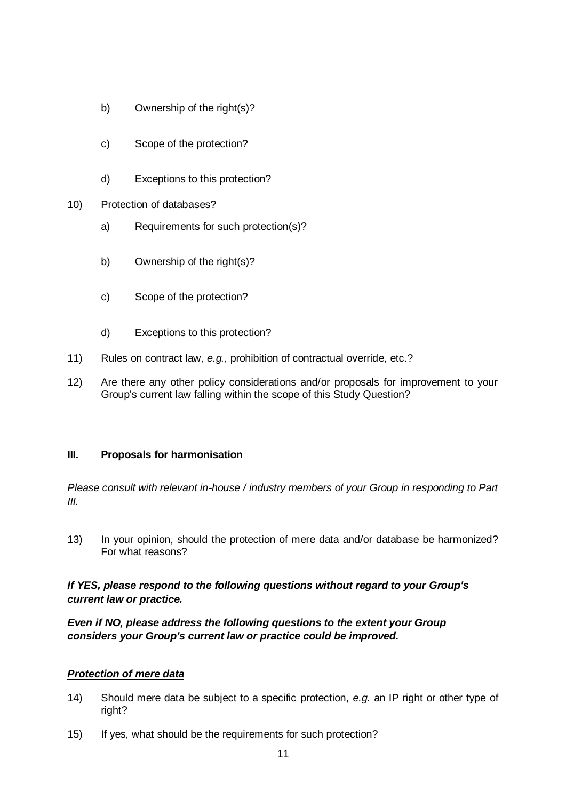- b) Ownership of the right(s)?
- c) Scope of the protection?
- d) Exceptions to this protection?
- 10) Protection of databases?
	- a) Requirements for such protection(s)?
	- b) Ownership of the right(s)?
	- c) Scope of the protection?
	- d) Exceptions to this protection?
- 11) Rules on contract law, *e.g.*, prohibition of contractual override, etc.?
- 12) Are there any other policy considerations and/or proposals for improvement to your Group's current law falling within the scope of this Study Question?

## **III. Proposals for harmonisation**

*Please consult with relevant in-house / industry members of your Group in responding to Part III.*

13) In your opinion, should the protection of mere data and/or database be harmonized? For what reasons?

## *If YES, please respond to the following questions without regard to your Group's current law or practice.*

*Even if NO, please address the following questions to the extent your Group considers your Group's current law or practice could be improved.*

### *Protection of mere data*

- 14) Should mere data be subject to a specific protection, *e.g.* an IP right or other type of right?
- 15) If yes, what should be the requirements for such protection?